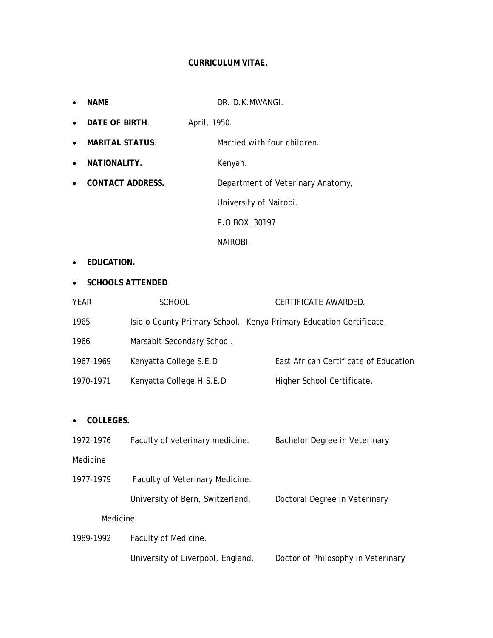### **CURRICULUM VITAE.**

|                                   | NAME.                                        |                                   | DR. D.K.MWANGI.                   |                                                                    |
|-----------------------------------|----------------------------------------------|-----------------------------------|-----------------------------------|--------------------------------------------------------------------|
| $\bullet$                         | DATE OF BIRTH.<br>April, 1950.               |                                   |                                   |                                                                    |
| ٠                                 | <b>MARITAL STATUS.</b>                       |                                   | Married with four children.       |                                                                    |
| ٠                                 | NATIONALITY.                                 |                                   | Kenyan.                           |                                                                    |
|                                   | <b>CONTACT ADDRESS.</b>                      |                                   | Department of Veterinary Anatomy, |                                                                    |
|                                   |                                              |                                   | University of Nairobi.            |                                                                    |
|                                   |                                              |                                   | P.O BOX 30197                     |                                                                    |
|                                   |                                              |                                   | NAIROBI.                          |                                                                    |
|                                   | EDUCATION.                                   |                                   |                                   |                                                                    |
|                                   | <b>SCHOOLS ATTENDED</b>                      |                                   |                                   |                                                                    |
| <b>YEAR</b>                       |                                              | <b>SCHOOL</b>                     |                                   | CERTIFICATE AWARDED.                                               |
| 1965                              |                                              |                                   |                                   | Isiolo County Primary School. Kenya Primary Education Certificate. |
| 1966                              |                                              | Marsabit Secondary School.        |                                   |                                                                    |
| 1967-1969                         |                                              | Kenyatta College S.E.D            |                                   | East African Certificate of Education                              |
| 1970-1971                         |                                              | Kenyatta College H.S.E.D          |                                   | Higher School Certificate.                                         |
|                                   |                                              |                                   |                                   |                                                                    |
| COLLEGES.                         |                                              |                                   |                                   |                                                                    |
| 1972-1976                         |                                              | Faculty of veterinary medicine.   |                                   | Bachelor Degree in Veterinary                                      |
| Medicine                          |                                              |                                   |                                   |                                                                    |
|                                   | 1977-1979<br>Faculty of Veterinary Medicine. |                                   |                                   |                                                                    |
|                                   | University of Bern, Switzerland.             |                                   |                                   | Doctoral Degree in Veterinary                                      |
| Medicine                          |                                              |                                   |                                   |                                                                    |
| Faculty of Medicine.<br>1989-1992 |                                              |                                   |                                   |                                                                    |
|                                   |                                              | University of Liverpool, England. |                                   | Doctor of Philosophy in Veterinary                                 |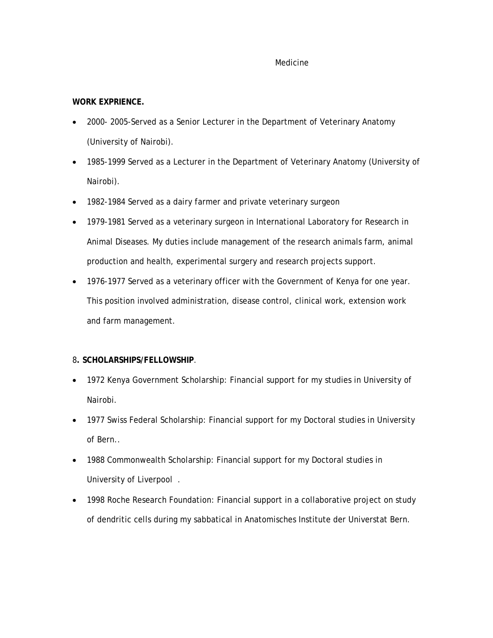### Medicine

## **WORK EXPRIENCE.**

- 2000- 2005-Served as a Senior Lecturer in the Department of Veterinary Anatomy (University of Nairobi).
- 1985-1999 Served as a Lecturer in the Department of Veterinary Anatomy (University of Nairobi).
- 1982-1984 Served as a dairy farmer and private veterinary surgeon
- 1979-1981 Served as a veterinary surgeon in International Laboratory for Research in Animal Diseases. My duties include management of the research animals farm, animal production and health, experimental surgery and research projects support.
- 1976-1977 Served as a veterinary officer with the Government of Kenya for one year. This position involved administration, disease control, clinical work, extension work and farm management.

### 8**. SCHOLARSHIPS/FELLOWSHIP**.

- 1972 Kenya Government Scholarship: Financial support for my studies in University of Nairobi.
- 1977 Swiss Federal Scholarship: Financial support for my Doctoral studies in University of Bern..
- 1988 Commonwealth Scholarship: Financial support for my Doctoral studies in University of Liverpool .
- 1998 Roche Research Foundation: Financial support in a collaborative project on study of dendritic cells during my sabbatical in Anatomisches Institute der Universtat Bern.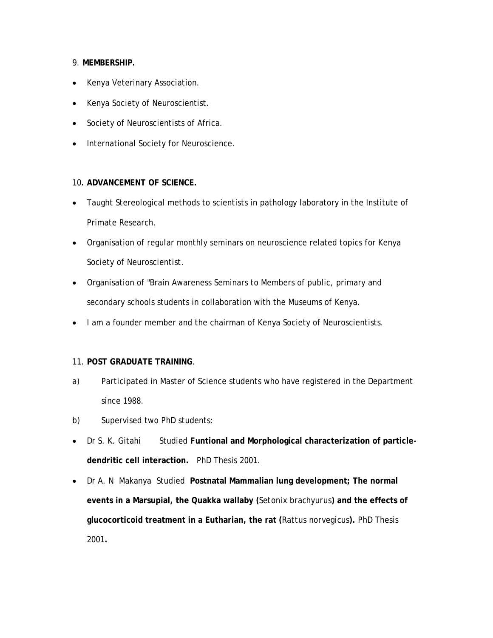# 9. **MEMBERSHIP.**

- Kenya Veterinary Association.
- Kenya Society of Neuroscientist.
- Society of Neuroscientists of Africa.
- International Society for Neuroscience.

### 10**. ADVANCEMENT OF SCIENCE.**

- Taught Stereological methods to scientists in pathology laboratory in the Institute of Primate Research.
- Organisation of regular monthly seminars on neuroscience related topics for Kenya Society of Neuroscientist.
- Organisation of "Brain Awareness Seminars to Members of public, primary and secondary schools students in collaboration with the Museums of Kenya.
- I am a founder member and the chairman of Kenya Society of Neuroscientists.

#### 11. **POST GRADUATE TRAINING**.

- a) Participated in Master of Science students who have registered in the Department since 1988.
- b) Supervised two PhD students:
- Dr S. K. Gitahi Studied Funtional and Morphological characterization of particle**dendritic cell interaction.** PhD Thesis 2001.
- Dr A. N Makanya Studied **Postnatal Mammalian lung development; The normal events in a Marsupial, the Quakka wallaby (***Setonix brachyurus***) and the effects of glucocorticoid treatment in a Eutharian, the rat (***Rattus norvegicus***).** PhD Thesis 2001**.**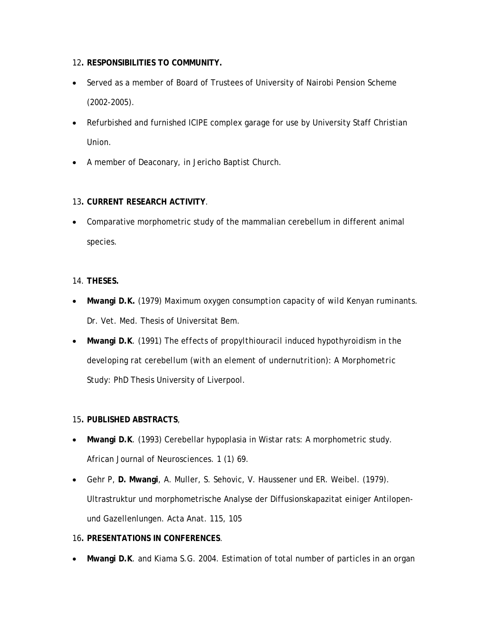- 12**. RESPONSIBILITIES TO COMMUNITY.**
- Served as a member of Board of Trustees of University of Nairobi Pension Scheme (2002-2005).
- Refurbished and furnished ICIPE complex garage for use by University Staff Christian Union.
- A member of Deaconary, in Jericho Baptist Church.

# 13**. CURRENT RESEARCH ACTIVITY**.

• Comparative morphometric study of the mammalian cerebellum in different animal species.

### 14. **THESES.**

- **Mwangi D.K.** (1979*) Maximum oxygen consumption capacity of wild Kenyan ruminants.*  Dr. Vet. Med. Thesis of Universitat Bem.
- **Mwangi D.K**. (1991) *The effects of propylthiouracil induced hypothyroidism in the developing rat cerebellum (with an element of undernutrition): A Morphometric Study*: PhD Thesis University of Liverpool.

### 15**. PUBLISHED ABSTRACTS**,

- **Mwangi D.K**. (1993) Cerebellar hypoplasia in Wistar rats: A morphometric study. African Journal of Neurosciences. 1 (1) 69.
- Gehr P, **D. Mwangi**, A. Muller, S. Sehovic, V. Haussener und ER. Weibel. (1979). Ultrastruktur und morphometrische Analyse der Diffusionskapazitat einiger Antilopenund Gazellenlungen. Acta Anat. 115, 105

# 16**. PRESENTATIONS IN CONFERENCES**.

• **Mwangi D.K**. and Kiama S.G. 2004. Estimation of total number of particles in an organ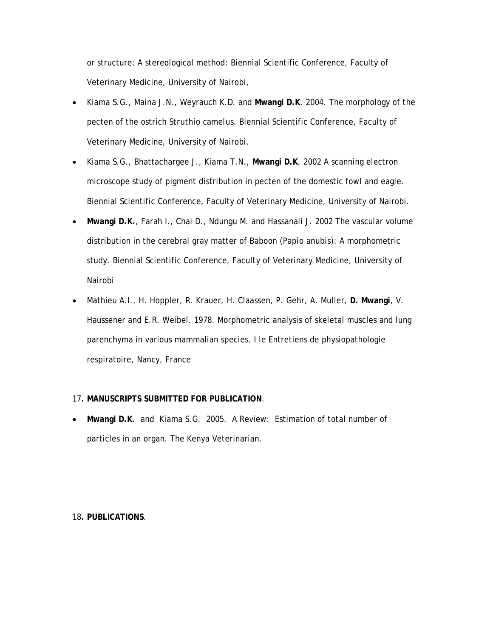or structure: A stereological method: Biennial Scientific Conference, Faculty of Veterinary Medicine, University of Nairobi,

- Kiama S.G., Maina J.N., Weyrauch K.D. and **Mwangi D.K**. 2004. The morphology of the pecten of the ostrich *Struthio camelus*. Biennial Scientific Conference, Faculty of Veterinary Medicine, University of Nairobi.
- Kiama S.G., Bhattachargee J., Kiama T.N., **Mwangi D.K**. 2002 A scanning electron microscope study of pigment distribution in pecten of the domestic fowl and eagle. Biennial Scientific Conference, Faculty of Veterinary Medicine, University of Nairobi.
- **Mwangi D.K.**, Farah I., Chai D., Ndungu M. and Hassanali J. 2002 The vascular volume distribution in the cerebral gray matter of Baboon (*Papio anubis*): A morphometric study. Biennial Scientific Conference, Faculty of Veterinary Medicine, University of Nairobi
- Mathieu A.I., H. Hoppler, R. Krauer, H. Claassen, P. Gehr, A. Muller, **D. Mwangi**, V. Haussener and E.R. Weibel. 1978. Morphometric analysis of skeletal muscles and lung parenchyma in various mammalian species. I le Entretiens de physiopathologie respiratoire, Nancy, France

### 17**. MANUSCRIPTS SUBMITTED FOR PUBLICATION**.

• **Mwangi D.K**. and Kiama S.G. 2005. A Review: Estimation of total number of particles in an organ. The Kenya Veterinarian.

### 18**. PUBLICATIONS**.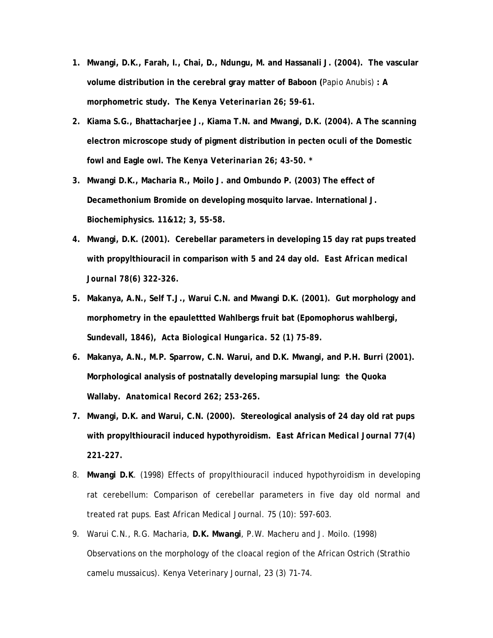- **1. Mwangi, D.K., Farah, I., Chai, D., Ndungu, M. and Hassanali J. (2004). The vascular volume distribution in the cerebral gray matter of Baboon (***Papio Anubis)* **: A morphometric study. T***he Kenya Veterinarian 26; 59-61.*
- **2. Kiama S.G., Bhattacharjee J., Kiama T.N. and Mwangi, D.K. (2004). A The scanning electron microscope study of pigment distribution in pecten oculi of the Domestic fowl and Eagle owl. T***he Kenya Veterinarian 26; 43-50. \**
- **3. Mwangi D.K., Macharia R., Moilo J. and Ombundo P. (2003) The effect of Decamethonium Bromide on developing mosquito larvae. International J. Biochemiphysics. 11&12; 3, 55-58.**
- **4. Mwangi, D.K. (2001). Cerebellar parameters in developing 15 day rat pups treated with propylthiouracil in comparison with 5 and 24 day old.** *East African medical Journal 78(6) 322-326.*
- **5. Makanya, A.N., Self T.J., Warui C.N. and Mwangi D.K. (2001). Gut morphology and morphometry in the epaulettted Wahlbergs fruit bat (Epomophorus wahlbergi, Sundevall, 1846),** *Acta Biological Hungarica. 52 (1) 75-89.*
- **6. Makanya, A.N., M.P. Sparrow, C.N. Warui, and D.K. Mwangi, and P.H. Burri (2001). Morphological analysis of postnatally developing marsupial lung: the Quoka Wallaby.** *Anatomical Record 262; 253-265.*
- **7. Mwangi, D.K. and Warui, C.N. (2000). Stereological analysis of 24 day old rat pups with propylthiouracil induced hypothyroidism.** *East African Medical Journal 77(4) 221-227.*
- 8. **Mwangi D.K**. (1998) Effects of propylthiouracil induced hypothyroidism in developing rat cerebellum: Comparison of cerebellar parameters in five day old normal and treated rat pups. East African Medical Journal. 75 (10): 597-603.
- 9. Warui C.N., R.G. Macharia, **D.K. Mwangi**, P.W. Macheru and J. Moilo. (1998) Observations on the morphology of the cloacal region of the African Ostrich (Strathio camelu mussaicus). Kenya Veterinary Journal, 23 (3) 71-74.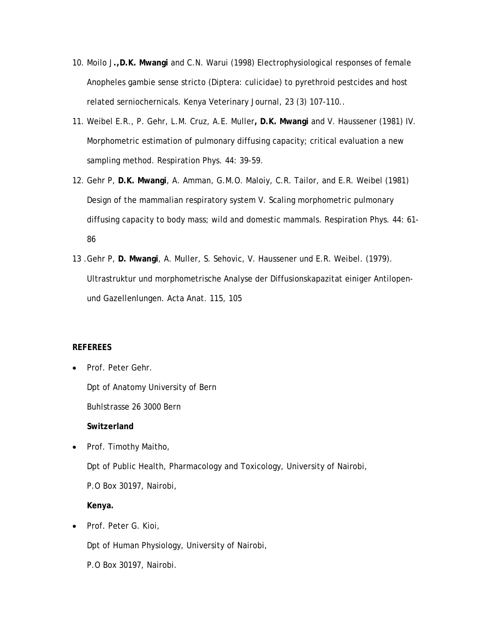- 10. Moilo J**.,D.K. Mwangi** and C.N. Warui (1998) Electrophysiological responses of female Anopheles gambie sense stricto (Diptera: culicidae) to pyrethroid pestcides and host related serniochernicals. Kenya Veterinary Journal, 23 (3) 107-110..
- 11. Weibel E.R., P. Gehr, L.M. Cruz, A.E. Muller**, D.K. Mwangi** and V. Haussener (1981) IV. Morphometric estimation of pulmonary diffusing capacity; critical evaluation a new sampling method. Respiration Phys. 44: 39-59.
- 12. Gehr P, **D.K. Mwangi**, A. Amman, G.M.O. Maloiy, C.R. Tailor, and E.R. Weibel (1981) Design of the mammalian respiratory system V. Scaling morphometric pulmonary diffusing capacity to body mass; wild and domestic mammals. Respiration Phys. 44: 61- 86
- 13 .Gehr P, **D. Mwangi**, A. Muller, S. Sehovic, V. Haussener und E.R. Weibel. (1979). Ultrastruktur und morphometrische Analyse der Diffusionskapazitat einiger Antilopenund Gazellenlungen. Acta Anat. 115, 105

### **REFEREES**

- Prof. Peter Gehr.
	- Dpt of Anatomy University of Bern
	- Buhlstrasse 26 3000 Bern

**Switzerland** 

- Prof. Timothy Maitho, Dpt of Public Health, Pharmacology and Toxicology, University of Nairobi, P.O Box 30197, Nairobi, **Kenya.**
- Prof. Peter G. Kioi,

Dpt of Human Physiology, University of Nairobi,

P.O Box 30197, Nairobi.